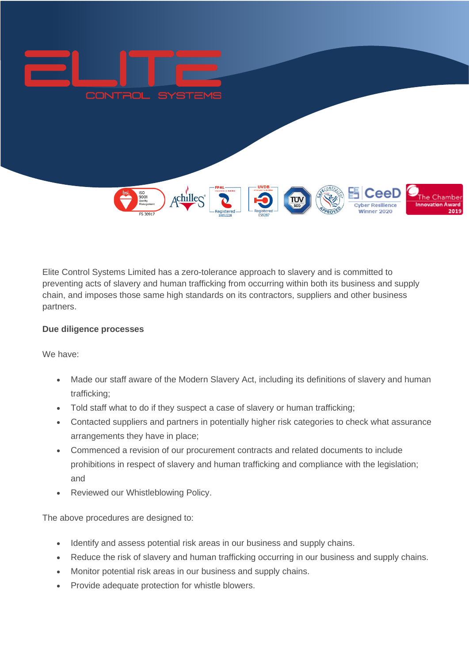

Elite Control Systems Limited has a zero-tolerance approach to slavery and is committed to preventing acts of slavery and human trafficking from occurring within both its business and supply chain, and imposes those same high standards on its contractors, suppliers and other business partners.

## **Due diligence processes**

We have:

- Made our staff aware of the Modern Slavery Act, including its definitions of slavery and human trafficking;
- Told staff what to do if they suspect a case of slavery or human trafficking;
- Contacted suppliers and partners in potentially higher risk categories to check what assurance arrangements they have in place;
- Commenced a revision of our procurement contracts and related documents to include prohibitions in respect of slavery and human trafficking and compliance with the legislation; and
- Reviewed our Whistleblowing Policy.

The above procedures are designed to:

- Identify and assess potential risk areas in our business and supply chains.
- Reduce the risk of slavery and human trafficking occurring in our business and supply chains.
- Monitor potential risk areas in our business and supply chains.
- Provide adequate protection for whistle blowers.